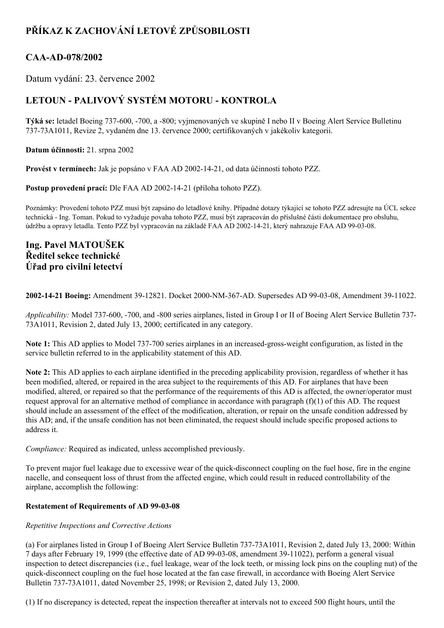# **PŘÍKAZ K ZACHOVÁNÍ LETOVÉ ZPŮSOBILOSTI**

## **CAAAD078/2002**

Datum vydání: 23. července 2002

## **LETOUN PALIVOVÝ SYSTÉM MOTORU KONTROLA**

**Týká se:** letadel Boeing 737600, 700, a 800; vyjmenovaných ve skupině I nebo II v Boeing Alert Service Bulletinu 73773A1011, Revize 2, vydaném dne 13. července 2000; certifikovaných v jakékoliv kategorii.

**Datum účinnosti:** 21. srpna 2002

**Provést v termínech:** Jak je popsáno v FAA AD 20021421, od data účinnosti tohoto PZZ.

Postup provedení prací: Dle FAA AD 2002-14-21 (příloha tohoto PZZ).

Poznámky: Provedení tohoto PZZ musí být zapsáno do letadlové knihy. Případné dotazy týkající se tohoto PZZ adresujte na ÚCL sekce technická Ing. Toman. Pokud to vyžaduje povaha tohoto PZZ, musí být zapracován do příslušné části dokumentace pro obsluhu, údržbu a opravy letadla. Tento PZZ byl vypracován na základě FAA AD 2002-14-21, který nahrazuje FAA AD 99-03-08.

## **Ing. Pavel MATOUŠEK Ředitel sekce technické Úřad pro civilní letectví**

**2002-14-21 Boeing:** Amendment 39-12821. Docket 2000-NM-367-AD. Supersedes AD 99-03-08. Amendment 39-11022.

*Applicability:* Model 737-600, -700, and -800 series airplanes, listed in Group I or II of Boeing Alert Service Bulletin 737-73A1011, Revision 2, dated July 13, 2000; certificated in any category.

Note 1: This AD applies to Model 737-700 series airplanes in an increased-gross-weight configuration, as listed in the service bulletin referred to in the applicability statement of this AD.

**Note 2:** This AD applies to each airplane identified in the preceding applicability provision, regardless of whether it has been modified, altered, or repaired in the area subject to the requirements of this AD. For airplanes that have been modified, altered, or repaired so that the performance of the requirements of this AD is affected, the owner/operator must request approval for an alternative method of compliance in accordance with paragraph  $(f)(1)$  of this AD. The request should include an assessment of the effect of the modification, alteration, or repair on the unsafe condition addressed by this AD; and, if the unsafe condition has not been eliminated, the request should include specific proposed actions to address it.

*Compliance:* Required as indicated, unless accomplished previously.

To prevent major fuel leakage due to excessive wear of the quick-disconnect coupling on the fuel hose, fire in the engine nacelle, and consequent loss of thrust from the affected engine, which could result in reduced controllability of the airplane, accomplish the following:

## **Restatement** of Requirements of AD 99-03-08

## *Repetitive Inspections and Corrective Actions*

(a) For airplanes listed in Group I of Boeing Alert Service Bulletin 737-73A1011, Revision 2, dated July 13, 2000: Within 7 days after February 19, 1999 (the effective date of AD 99-03-08, amendment 39-11022), perform a general visual inspection to detect discrepancies (i.e., fuel leakage, wear of the lock teeth, or missing lock pins on the coupling nut) of the quick-disconnect coupling on the fuel hose located at the fan case firewall, in accordance with Boeing Alert Service Bulletin 737-73A1011, dated November 25, 1998; or Revision 2, dated July 13, 2000.

(1) If no discrepancy is detected, repeat the inspection thereafter at intervals not to exceed 500 flight hours, until the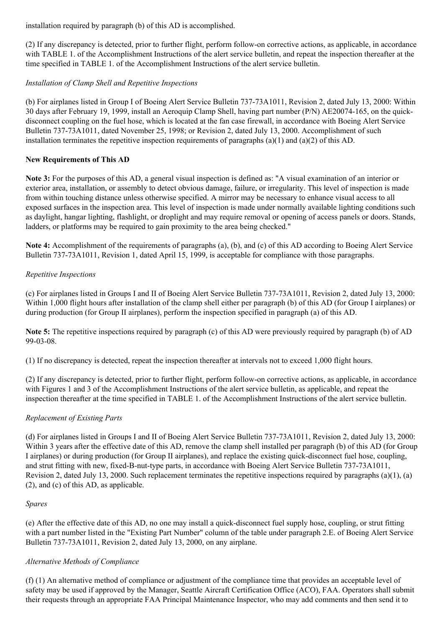installation required by paragraph (b) of this AD is accomplished.

(2) If any discrepancy is detected, prior to further flight, perform followon corrective actions, as applicable, in accordance with TABLE 1. of the Accomplishment Instructions of the alert service bulletin, and repeat the inspection thereafter at the time specified in TABLE 1. of the Accomplishment Instructions of the alert service bulletin.

### *Installation of Clamp Shell and Repetitive Inspections*

(b) For airplanes listed in Group I of Boeing Alert Service Bulletin 737-73A1011, Revision 2, dated July 13, 2000: Within 30 days after February 19, 1999, install an Aeroquip Clamp Shell, having part number (P/N) AE20074165, on the quickdisconnect coupling on the fuel hose, which is located at the fan case firewall, in accordance with Boeing Alert Service Bulletin 737-73A1011, dated November 25, 1998; or Revision 2, dated July 13, 2000. Accomplishment of such installation terminates the repetitive inspection requirements of paragraphs (a)(1) and (a)(2) of this AD.

### **New Requirements of This AD**

**Note 3:** For the purposes of this AD, a general visual inspection is defined as: "A visual examination of an interior or exterior area, installation, or assembly to detect obvious damage, failure, or irregularity. This level of inspection is made from within touching distance unless otherwise specified. A mirror may be necessary to enhance visual access to all exposed surfaces in the inspection area. This level of inspection is made under normally available lighting conditions such as daylight, hangar lighting, flashlight, or droplight and may require removal or opening of access panels or doors. Stands, ladders, or platforms may be required to gain proximity to the area being checked."

**Note 4:** Accomplishment of the requirements of paragraphs (a), (b), and (c) of this AD according to Boeing Alert Service Bulletin  $737-73A1011$ , Revision 1, dated April 15, 1999, is acceptable for compliance with those paragraphs.

## *Repetitive Inspections*

(c) For airplanes listed in Groups I and II of Boeing Alert Service Bulletin 737-73A1011, Revision 2, dated July 13, 2000: Within 1,000 flight hours after installation of the clamp shell either per paragraph (b) of this AD (for Group I airplanes) or during production (for Group II airplanes), perform the inspection specified in paragraph (a) of this AD.

**Note 5:** The repetitive inspections required by paragraph (c) of this AD were previously required by paragraph (b) of AD 99-03-08.

(1) If no discrepancy is detected, repeat the inspection thereafter at intervals not to exceed 1,000 flight hours.

(2) If any discrepancy is detected, prior to further flight, perform follow-on corrective actions, as applicable, in accordance with Figures 1 and 3 of the Accomplishment Instructions of the alert service bulletin, as applicable, and repeat the inspection thereafter at the time specified in TABLE 1. of the Accomplishment Instructions of the alert service bulletin.

## *Replacement of Existing Parts*

(d) For airplanes listed in Groups I and II of Boeing Alert Service Bulletin 73773A1011, Revision 2, dated July 13, 2000: Within 3 years after the effective date of this AD, remove the clamp shell installed per paragraph (b) of this AD (for Group I airplanes) or during production (for Group II airplanes), and replace the existing quick-disconnect fuel hose, coupling, and strut fitting with new, fixed-B-nut-type parts, in accordance with Boeing Alert Service Bulletin 737-73A1011, Revision 2, dated July 13, 2000. Such replacement terminates the repetitive inspections required by paragraphs  $(a)(1)$ ,  $(a)$ (2), and (c) of this AD, as applicable.

#### *Spares*

 $(e)$  After the effective date of this AD, no one may install a quick-disconnect fuel supply hose, coupling, or strut fitting with a part number listed in the "Existing Part Number" column of the table under paragraph 2.E. of Boeing Alert Service Bulletin 737-73A1011, Revision 2, dated July 13, 2000, on any airplane.

#### *Alternative Methods of Compliance*

(f) (1) An alternative method of compliance or adjustment of the compliance time that provides an acceptable level of safety may be used if approved by the Manager, Seattle Aircraft Certification Office (ACO), FAA. Operators shall submit their requests through an appropriate FAA Principal Maintenance Inspector, who may add comments and then send it to